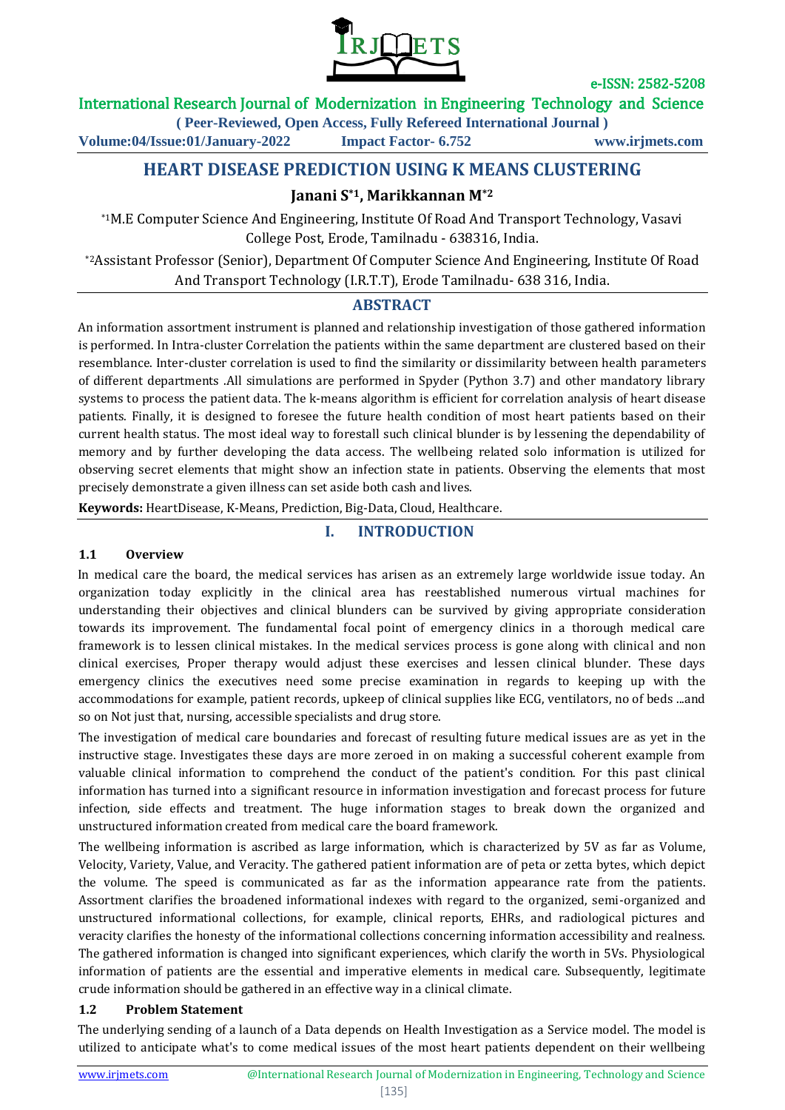

## International Research Journal of Modernization in Engineering Technology and Science

**( Peer-Reviewed, Open Access, Fully Refereed International Journal )**

**Volume:04/Issue:01/January-2022 Impact Factor- 6.752 www.irjmets.com**

# **HEART DISEASE PREDICTION USING K MEANS CLUSTERING**

# **Janani S\*1, Marikkannan M\*2**

\*1M.E Computer Science And Engineering, Institute Of Road And Transport Technology, Vasavi College Post, Erode, Tamilnadu - 638316, India.

\*2Assistant Professor (Senior), Department Of Computer Science And Engineering, Institute Of Road And Transport Technology (I.R.T.T), Erode Tamilnadu- 638 316, India.

## **ABSTRACT**

An information assortment instrument is planned and relationship investigation of those gathered information is performed. In Intra-cluster Correlation the patients within the same department are clustered based on their resemblance. Inter-cluster correlation is used to find the similarity or dissimilarity between health parameters of different departments .All simulations are performed in Spyder (Python 3.7) and other mandatory library systems to process the patient data. The k-means algorithm is efficient for correlation analysis of heart disease patients. Finally, it is designed to foresee the future health condition of most heart patients based on their current health status. The most ideal way to forestall such clinical blunder is by lessening the dependability of memory and by further developing the data access. The wellbeing related solo information is utilized for observing secret elements that might show an infection state in patients. Observing the elements that most precisely demonstrate a given illness can set aside both cash and lives.

**Keywords:** HeartDisease, K-Means, Prediction, Big-Data, Cloud, Healthcare.

## **I. INTRODUCTION**

#### **1.1 Overview**

In medical care the board, the medical services has arisen as an extremely large worldwide issue today. An organization today explicitly in the clinical area has reestablished numerous virtual machines for understanding their objectives and clinical blunders can be survived by giving appropriate consideration towards its improvement. The fundamental focal point of emergency clinics in a thorough medical care framework is to lessen clinical mistakes. In the medical services process is gone along with clinical and non clinical exercises, Proper therapy would adjust these exercises and lessen clinical blunder. These days emergency clinics the executives need some precise examination in regards to keeping up with the accommodations for example, patient records, upkeep of clinical supplies like ECG, ventilators, no of beds ...and so on Not just that, nursing, accessible specialists and drug store.

The investigation of medical care boundaries and forecast of resulting future medical issues are as yet in the instructive stage. Investigates these days are more zeroed in on making a successful coherent example from valuable clinical information to comprehend the conduct of the patient's condition. For this past clinical information has turned into a significant resource in information investigation and forecast process for future infection, side effects and treatment. The huge information stages to break down the organized and unstructured information created from medical care the board framework.

The wellbeing information is ascribed as large information, which is characterized by 5V as far as Volume, Velocity, Variety, Value, and Veracity. The gathered patient information are of peta or zetta bytes, which depict the volume. The speed is communicated as far as the information appearance rate from the patients. Assortment clarifies the broadened informational indexes with regard to the organized, semi-organized and unstructured informational collections, for example, clinical reports, EHRs, and radiological pictures and veracity clarifies the honesty of the informational collections concerning information accessibility and realness. The gathered information is changed into significant experiences, which clarify the worth in 5Vs. Physiological information of patients are the essential and imperative elements in medical care. Subsequently, legitimate crude information should be gathered in an effective way in a clinical climate.

#### **1.2 Problem Statement**

The underlying sending of a launch of a Data depends on Health Investigation as a Service model. The model is utilized to anticipate what's to come medical issues of the most heart patients dependent on their wellbeing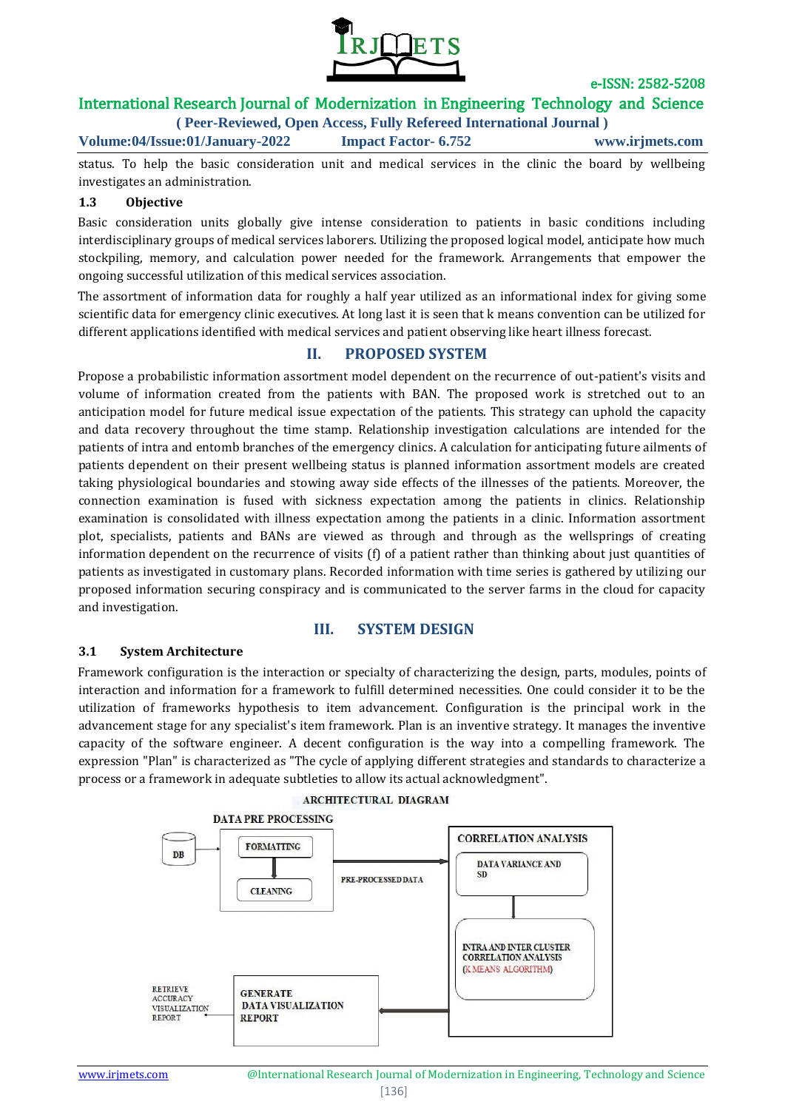

# International Research Journal of Modernization in Engineering Technology and Science

**( Peer-Reviewed, Open Access, Fully Refereed International Journal ) Volume:04/Issue:01/January-2022 Impact Factor- 6.752 www.irjmets.com**

status. To help the basic consideration unit and medical services in the clinic the board by wellbeing investigates an administration.

#### **1.3 Objective**

Basic consideration units globally give intense consideration to patients in basic conditions including interdisciplinary groups of medical services laborers. Utilizing the proposed logical model, anticipate how much stockpiling, memory, and calculation power needed for the framework. Arrangements that empower the ongoing successful utilization of this medical services association.

The assortment of information data for roughly a half year utilized as an informational index for giving some scientific data for emergency clinic executives. At long last it is seen that k means convention can be utilized for different applications identified with medical services and patient observing like heart illness forecast.

### **II. PROPOSED SYSTEM**

Propose a probabilistic information assortment model dependent on the recurrence of out-patient's visits and volume of information created from the patients with BAN. The proposed work is stretched out to an anticipation model for future medical issue expectation of the patients. This strategy can uphold the capacity and data recovery throughout the time stamp. Relationship investigation calculations are intended for the patients of intra and entomb branches of the emergency clinics. A calculation for anticipating future ailments of patients dependent on their present wellbeing status is planned information assortment models are created taking physiological boundaries and stowing away side effects of the illnesses of the patients. Moreover, the connection examination is fused with sickness expectation among the patients in clinics. Relationship examination is consolidated with illness expectation among the patients in a clinic. Information assortment plot, specialists, patients and BANs are viewed as through and through as the wellsprings of creating information dependent on the recurrence of visits (f) of a patient rather than thinking about just quantities of patients as investigated in customary plans. Recorded information with time series is gathered by utilizing our proposed information securing conspiracy and is communicated to the server farms in the cloud for capacity and investigation.

### **III. SYSTEM DESIGN**

#### **3.1 System Architecture**

Framework configuration is the interaction or specialty of characterizing the design, parts, modules, points of interaction and information for a framework to fulfill determined necessities. One could consider it to be the utilization of frameworks hypothesis to item advancement. Configuration is the principal work in the advancement stage for any specialist's item framework. Plan is an inventive strategy. It manages the inventive capacity of the software engineer. A decent configuration is the way into a compelling framework. The expression "Plan" is characterized as "The cycle of applying different strategies and standards to characterize a process or a framework in adequate subtleties to allow its actual acknowledgment".



#### **ARCHITECTURAL DIAGRAM**

www.irimets.com **@International Research Journal of Modernization in Engineering, Technology and Science** [136]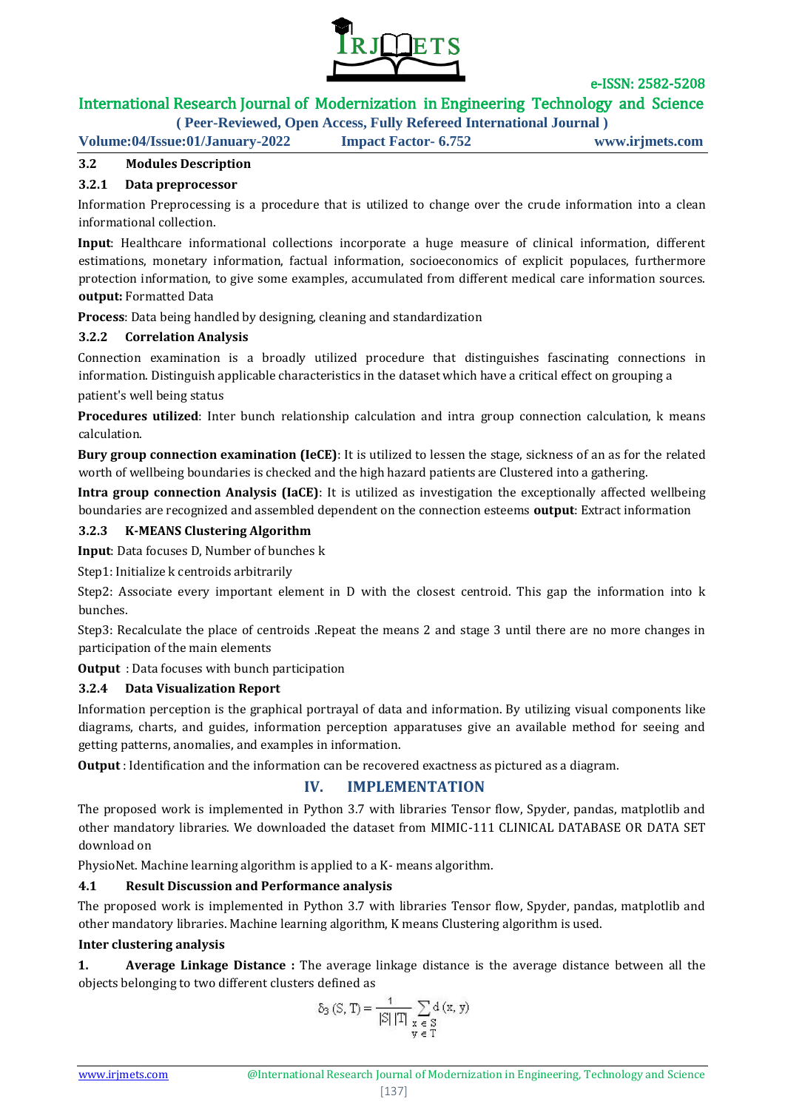

# International Research Journal of Modernization in Engineering Technology and Science

**( Peer-Reviewed, Open Access, Fully Refereed International Journal )**

**Volume:04/Issue:01/January-2022 Impact Factor- 6.752 www.irjmets.com**

### **3.2 Modules Description**

### **3.2.1 Data preprocessor**

Information Preprocessing is a procedure that is utilized to change over the crude information into a clean informational collection.

**Input**: Healthcare informational collections incorporate a huge measure of clinical information, different estimations, monetary information, factual information, socioeconomics of explicit populaces, furthermore protection information, to give some examples, accumulated from different medical care information sources. **output:** Formatted Data

**Process**: Data being handled by designing, cleaning and standardization

#### **3.2.2 Correlation Analysis**

Connection examination is a broadly utilized procedure that distinguishes fascinating connections in information. Distinguish applicable characteristics in the dataset which have a critical effect on grouping a

patient's well being status

**Procedures utilized**: Inter bunch relationship calculation and intra group connection calculation, k means calculation.

**Bury group connection examination (IeCE)**: It is utilized to lessen the stage, sickness of an as for the related worth of wellbeing boundaries is checked and the high hazard patients are Clustered into a gathering.

**Intra group connection Analysis (IaCE)**: It is utilized as investigation the exceptionally affected wellbeing boundaries are recognized and assembled dependent on the connection esteems **output**: Extract information

#### **3.2.3 K-MEANS Clustering Algorithm**

**Input**: Data focuses D, Number of bunches k

Step1: Initialize k centroids arbitrarily

Step2: Associate every important element in D with the closest centroid. This gap the information into k bunches.

Step3: Recalculate the place of centroids .Repeat the means 2 and stage 3 until there are no more changes in participation of the main elements

**Output** : Data focuses with bunch participation

### **3.2.4 Data Visualization Report**

Information perception is the graphical portrayal of data and information. By utilizing visual components like diagrams, charts, and guides, information perception apparatuses give an available method for seeing and getting patterns, anomalies, and examples in information.

**Output** : Identification and the information can be recovered exactness as pictured as a diagram.

## **IV. IMPLEMENTATION**

The proposed work is implemented in Python 3.7 with libraries Tensor flow, Spyder, pandas, matplotlib and other mandatory libraries. We downloaded the dataset from MIMIC-111 CLINICAL DATABASE OR DATA SET download on

PhysioNet. Machine learning algorithm is applied to a K- means algorithm.

### **4.1 Result Discussion and Performance analysis**

The proposed work is implemented in Python 3.7 with libraries Tensor flow, Spyder, pandas, matplotlib and other mandatory libraries. Machine learning algorithm, K means Clustering algorithm is used.

### **Inter clustering analysis**

**1. Average Linkage Distance :** The average linkage distance is the average distance between all the objects belonging to two different clusters defined as

$$
\delta_3\left(S,\,T\right)=\frac{1}{\left|S\right|\left|T\right|}\sum_{\substack{x\text{ }\in\text{ }S\\y\text{ }\in\text{ }T}}d\left(x,\,y\right)
$$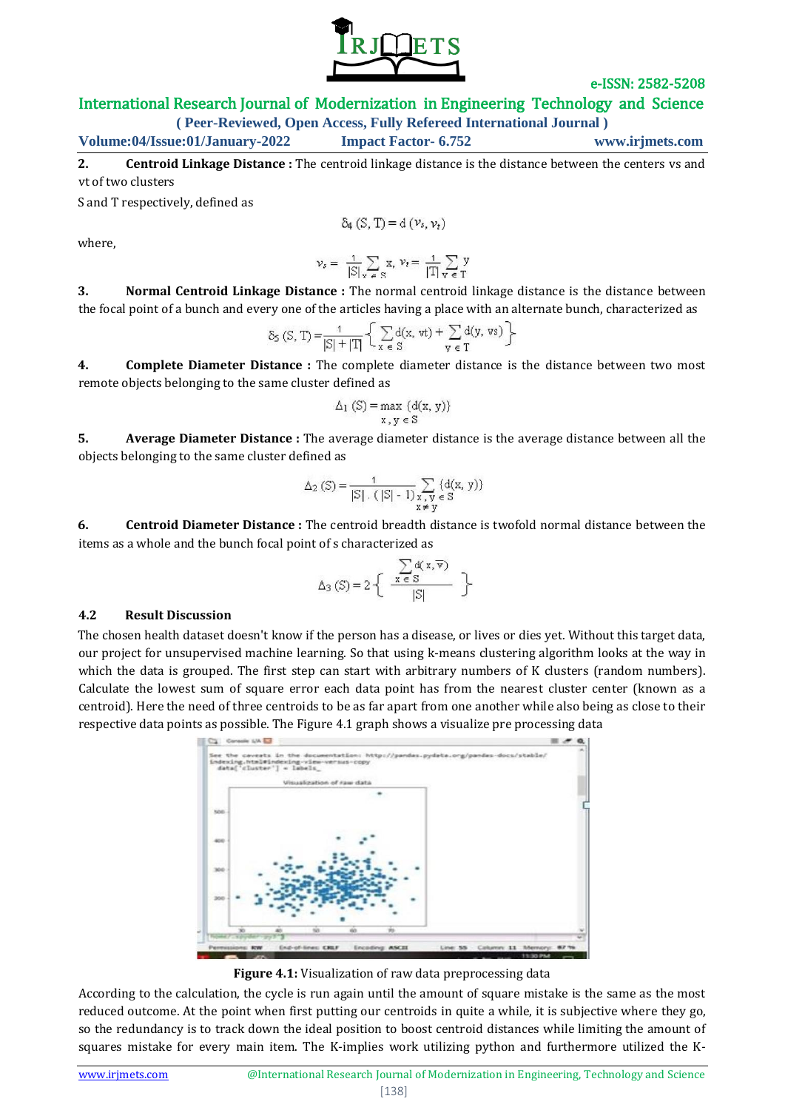

International Research Journal of Modernization in Engineering Technology and Science

**( Peer-Reviewed, Open Access, Fully Refereed International Journal )**

**Volume:04/Issue:01/January-2022 Impact Factor- 6.752 www.irjmets.com**

**2. Centroid Linkage Distance :** The centroid linkage distance is the distance between the centers vs and vt of two clusters

S and T respectively, defined as

$$
\delta_4\left(\text{S},\, \text{T}\right)=\text{d}\left(\nu_s,\nu_t\right)
$$

where,

$$
\nu_s = \frac{1}{|S|} \sum_{x \in S} x, \nu_t = \frac{1}{|T|} \sum_{y \in T} y
$$

**3. Normal Centroid Linkage Distance :** The normal centroid linkage distance is the distance between the focal point of a bunch and every one of the articles having a place with an alternate bunch, characterized as

$$
\delta_S(S,T) = \frac{1}{|S|+|T|} \left\{ \sum_{x \in S} d(x, vt) + \sum_{y \in T} d(y, vs) \right\}
$$

**4. Complete Diameter Distance :** The complete diameter distance is the distance between two most remote objects belonging to the same cluster defined as

$$
\Delta_1(S) = \max \{d(x, y)\}
$$
  
x, y \in S

**5. Average Diameter Distance :** The average diameter distance is the average distance between all the objects belonging to the same cluster defined as

$$
\Delta_2(S) = \frac{1}{|S| \cdot (|S| - 1)} \sum_{\substack{x, y \in S \\ x \neq y}} \left( d(x, y) \right)
$$

**6. Centroid Diameter Distance :** The centroid breadth distance is twofold normal distance between the items as a whole and the bunch focal point of s characterized as

$$
\Delta_3(S) = 2 \left\{ \begin{array}{c} \sum_{x \in S} d(x, \overline{v}) \\ \frac{x \in S}{|S|} \end{array} \right\}
$$

#### **4.2 Result Discussion**

The chosen health dataset doesn't know if the person has a disease, or lives or dies yet. Without this target data, our project for unsupervised machine learning. So that using k-means clustering algorithm looks at the way in which the data is grouped. The first step can start with arbitrary numbers of K clusters (random numbers). Calculate the lowest sum of square error each data point has from the nearest cluster center (known as a centroid). Here the need of three centroids to be as far apart from one another while also being as close to their respective data points as possible. The Figure 4.1 graph shows a visualize pre processing data



**Figure 4.1:** Visualization of raw data preprocessing data

According to the calculation, the cycle is run again until the amount of square mistake is the same as the most reduced outcome. At the point when first putting our centroids in quite a while, it is subjective where they go, so the redundancy is to track down the ideal position to boost centroid distances while limiting the amount of squares mistake for every main item. The K-implies work utilizing python and furthermore utilized the K-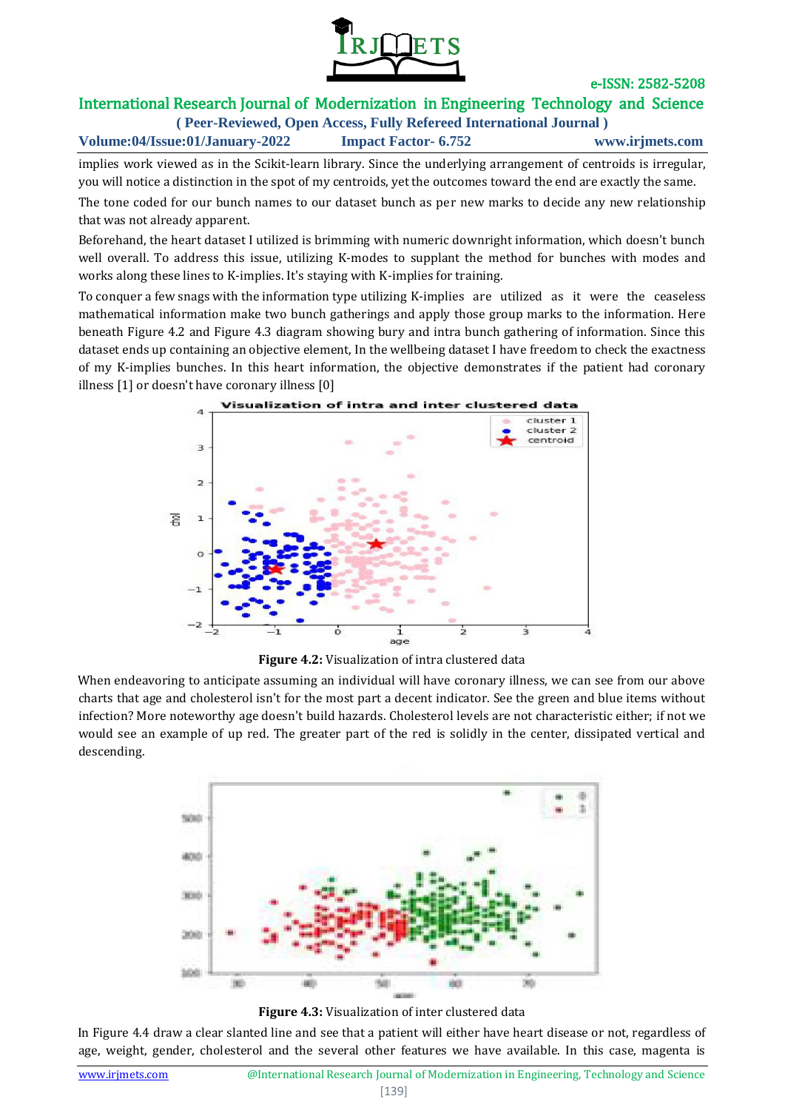

#### International Research Journal of Modernization in Engineering Technology and Science **( Peer-Reviewed, Open Access, Fully Refereed International Journal )**

**Volume:04/Issue:01/January-2022 Impact Factor- 6.752 www.irjmets.com**

implies work viewed as in the Scikit-learn library. Since the underlying arrangement of centroids is irregular, you will notice a distinction in the spot of my centroids, yet the outcomes toward the end are exactly the same.

The tone coded for our bunch names to our dataset bunch as per new marks to decide any new relationship that was not already apparent.

Beforehand, the heart dataset I utilized is brimming with numeric downright information, which doesn't bunch well overall. To address this issue, utilizing K-modes to supplant the method for bunches with modes and works along these lines to K-implies. It's staying with K-implies for training.

To conquer a few snags with the information type utilizing K-implies are utilized as it were the ceaseless mathematical information make two bunch gatherings and apply those group marks to the information. Here beneath Figure 4.2 and Figure 4.3 diagram showing bury and intra bunch gathering of information. Since this dataset ends up containing an objective element, In the wellbeing dataset I have freedom to check the exactness of my K-implies bunches. In this heart information, the objective demonstrates if the patient had coronary illness [1] or doesn't have coronary illness [0]



**Figure 4.2:** Visualization of intra clustered data

When endeavoring to anticipate assuming an individual will have coronary illness, we can see from our above charts that age and cholesterol isn't for the most part a decent indicator. See the green and blue items without infection? More noteworthy age doesn't build hazards. Cholesterol levels are not characteristic either; if not we would see an example of up red. The greater part of the red is solidly in the center, dissipated vertical and descending.



**Figure 4.3:** Visualization of inter clustered data

In Figure 4.4 draw a clear slanted line and see that a patient will either have heart disease or not, regardless of age, weight, gender, cholesterol and the several other features we have available. In this case, magenta is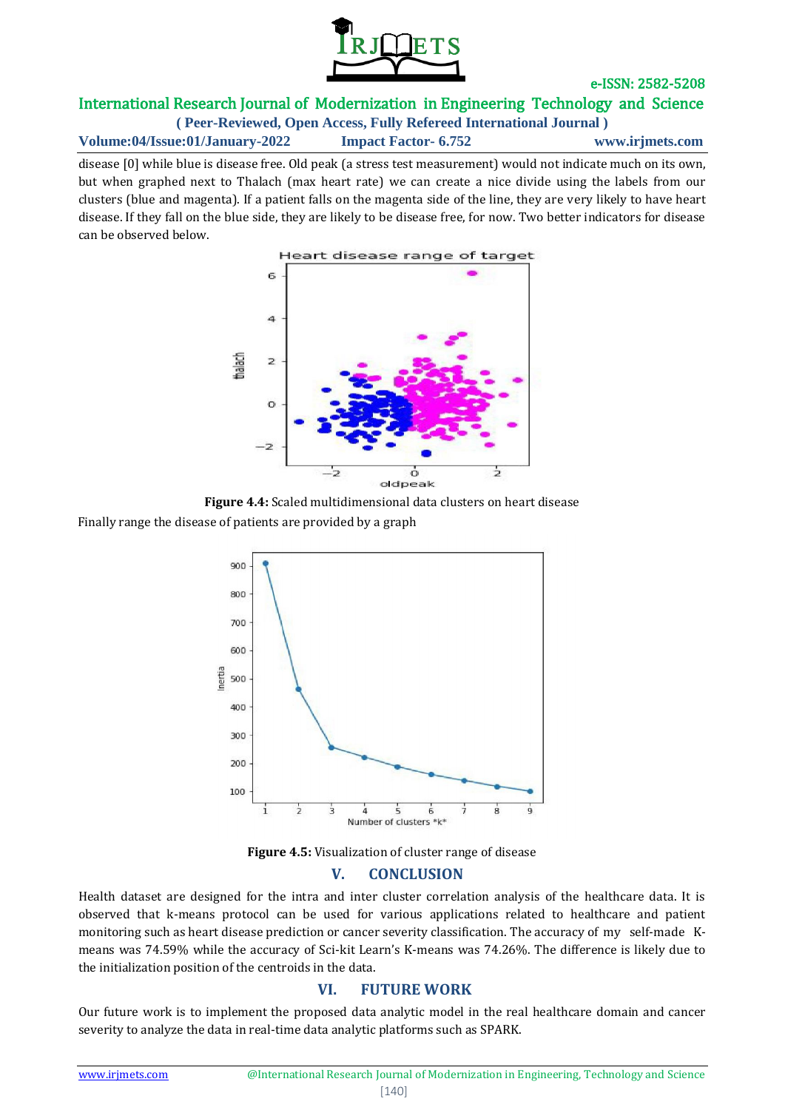

# International Research Journal of Modernization in Engineering Technology and Science

**( Peer-Reviewed, Open Access, Fully Refereed International Journal )**

**Volume:04/Issue:01/January-2022 Impact Factor- 6.752 www.irjmets.com**

disease [0] while blue is disease free. Old peak (a stress test measurement) would not indicate much on its own, but when graphed next to Thalach (max heart rate) we can create a nice divide using the labels from our clusters (blue and magenta). If a patient falls on the magenta side of the line, they are very likely to have heart disease. If they fall on the blue side, they are likely to be disease free, for now. Two better indicators for disease can be observed below.





Finally range the disease of patients are provided by a graph



**Figure 4.5:** Visualization of cluster range of disease

### **V. CONCLUSION**

Health dataset are designed for the intra and inter cluster correlation analysis of the healthcare data. It is observed that k-means protocol can be used for various applications related to healthcare and patient monitoring such as heart disease prediction or cancer severity classification. The accuracy of my self-made Kmeans was 74.59% while the accuracy of Sci-kit Learn's K-means was 74.26%. The difference is likely due to the initialization position of the centroids in the data.

# **VI. FUTURE WORK**

Our future work is to implement the proposed data analytic model in the real healthcare domain and cancer severity to analyze the data in real-time data analytic platforms such as SPARK.